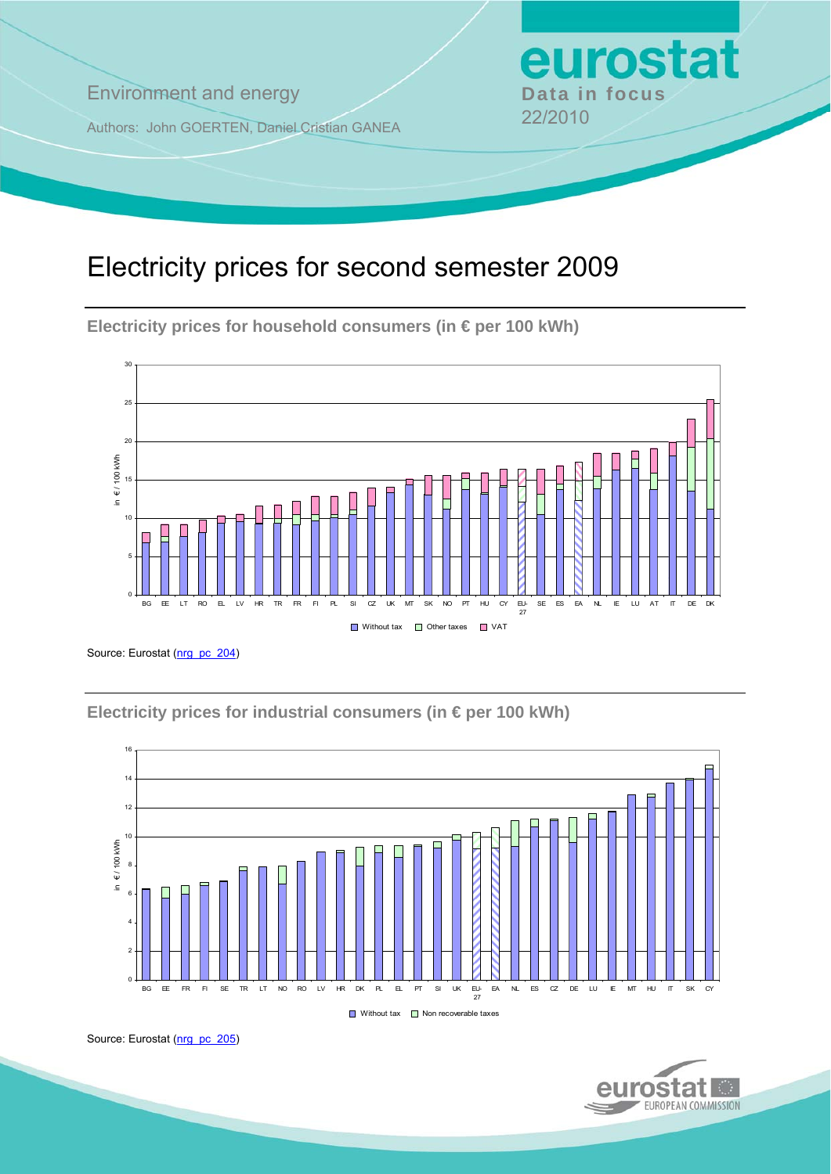**Environment and energy by Data in focus** 

Authors: John GOERTEN, Daniel Cristian GANEA 22/2010

# Electricity prices for second semester 2009

**Electricity prices for household consumers (in € per 100 kWh)** 



Source: Eurostat (nrg\_pc\_204)

**Electricity prices for industrial consumers (in € per 100 kWh)** 



Source: Eurostat ([nrg\\_pc\\_205](http://ec.europa.eu/eurostat/product?mode=view&code=nrg_pc_205))



eurostat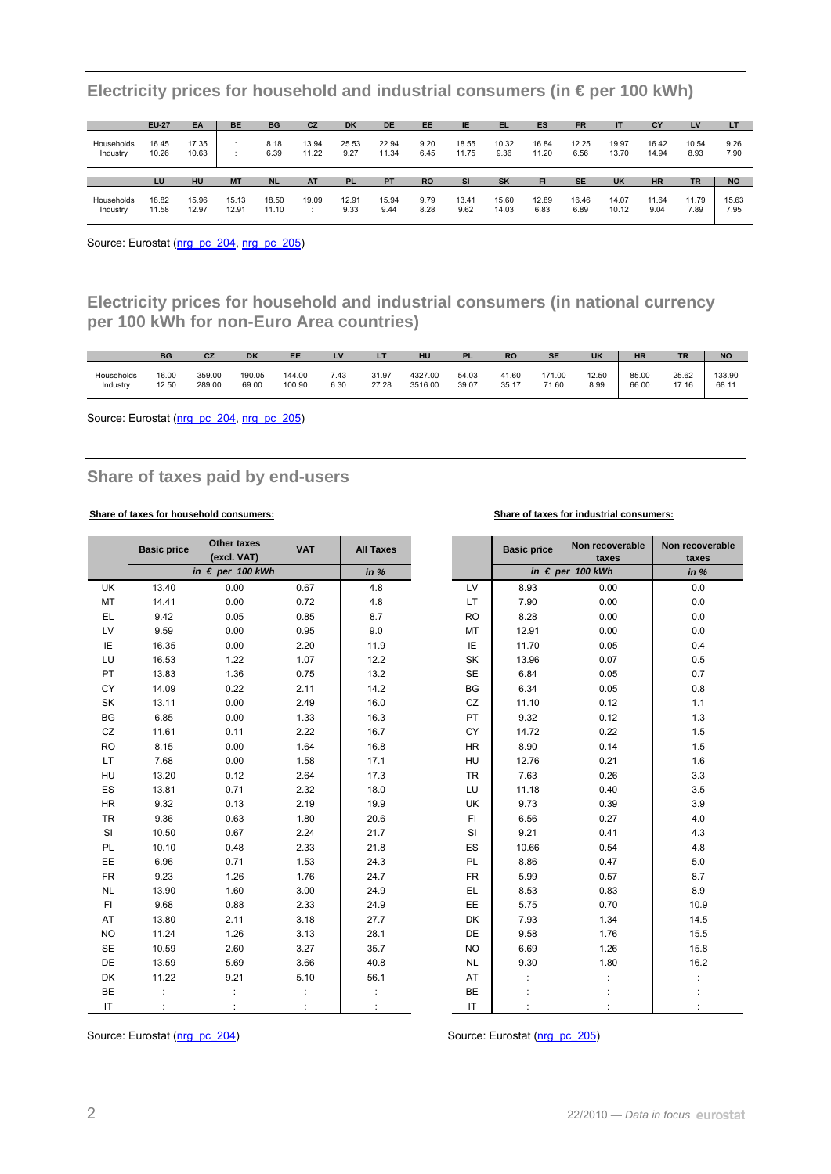|                        | <b>EU-27</b>   | EA             | <b>BE</b> | <b>BG</b>    | <b>CZ</b>      | <b>DK</b>     | <b>DE</b>      | <b>EE</b>    | <b>IE</b>      | TEL.          | ES             | <b>FR</b>     | П              | CY             | LV            | LT           |
|------------------------|----------------|----------------|-----------|--------------|----------------|---------------|----------------|--------------|----------------|---------------|----------------|---------------|----------------|----------------|---------------|--------------|
| Households<br>Industry | 16.45<br>10.26 | 17.35<br>10.63 |           | 8.18<br>6.39 | 13.94<br>11.22 | 25.53<br>9.27 | 22.94<br>11.34 | 9.20<br>6.45 | 18.55<br>11.75 | 10.32<br>9.36 | 16.84<br>11.20 | 12.25<br>6.56 | 19.97<br>13.70 | 16.42<br>14.94 | 10.54<br>8.93 | 9.26<br>7.90 |
|                        |                |                |           |              |                |               |                |              |                |               |                |               |                |                |               |              |
|                        | LU             | HU             | <b>MT</b> | <b>NL</b>    | <b>AT</b>      | <b>PL</b>     | PT             | <b>RO</b>    | <b>SI</b>      | <b>SK</b>     | FI             | <b>SE</b>     | <b>UK</b>      | <b>HR</b>      | <b>TR</b>     | <b>NO</b>    |

**Electricity prices for household and industrial consumers (in € per 100 kWh)** 

Source: Eurostat ([nrg\\_pc\\_204](http://ec.europa.eu/eurostat/product?mode=view&code=nrg_pc_204), [nrg\\_pc\\_205\)](http://ec.europa.eu/eurostat/product?mode=view&code=nrg_pc_205)

**Electricity prices for household and industrial consumers (in national currency per 100 kWh for non-Euro Area countries)** 

|            | <b>BG</b> | CZ     | <b>DK</b> | EE     | LV   | - 1   | HU      | DI    | <b>RO</b> | <b>SE</b> | <b>UK</b> | <b>HR</b> | <b>TR</b> | <b>NO</b> |
|------------|-----------|--------|-----------|--------|------|-------|---------|-------|-----------|-----------|-----------|-----------|-----------|-----------|
| Households | 16.00     | 359.00 | 190.05    | 144.00 | 7.43 | 31.97 | 4327.00 | 54.03 | 41.60     | 171.00    | 12.50     | 85.00     | 25.62     | 133.90    |
| Industry   | 12.50     | 289.00 | 69.00     | 100.90 | 6.30 | 27.28 | 3516.00 | 39.07 | 35.17     | 71.60     | 8.99      | 66.00     | 17.16     | 68.11     |

Source: Eurostat [\(nrg\\_pc\\_204,](http://ec.europa.eu/eurostat/product?mode=view&code=nrg_pc_204) [nrg\\_pc\\_205\)](http://ec.europa.eu/eurostat/product?mode=view&code=nrg_pc_205)

### **Share of taxes paid by end-users**

### **Share of taxes for household consumers: Share of taxes for industrial consumers:**

|           | <b>Basic price</b> | <b>Other taxes</b><br>(excl. VAT) | <b>VAT</b> | <b>All Taxes</b> |           | <b>Basic price</b> | Non recoverable<br>taxes  | Non recoverable<br>taxes |
|-----------|--------------------|-----------------------------------|------------|------------------|-----------|--------------------|---------------------------|--------------------------|
|           |                    | in $\epsilon$ per 100 kWh         |            | in $%$           |           |                    | in $\epsilon$ per 100 kWh | in $%$                   |
| <b>UK</b> | 13.40              | 0.00                              | 0.67       | 4.8              | LV        | 8.93               | 0.00                      | 0.0                      |
| <b>MT</b> | 14.41              | 0.00                              | 0.72       | 4.8              | <b>LT</b> | 7.90               | 0.00                      | 0.0                      |
| EL        | 9.42               | 0.05                              | 0.85       | 8.7              | <b>RO</b> | 8.28               | 0.00                      | 0.0                      |
| LV        | 9.59               | 0.00                              | 0.95       | 9.0              | MT        | 12.91              | 0.00                      | 0.0                      |
| IE        | 16.35              | 0.00                              | 2.20       | 11.9             | IE        | 11.70              | 0.05                      | 0.4                      |
| LU        | 16.53              | 1.22                              | 1.07       | 12.2             | SK        | 13.96              | 0.07                      | 0.5                      |
| <b>PT</b> | 13.83              | 1.36                              | 0.75       | 13.2             | <b>SE</b> | 6.84               | 0.05                      | 0.7                      |
| <b>CY</b> | 14.09              | 0.22                              | 2.11       | 14.2             | BG        | 6.34               | 0.05                      | 0.8                      |
| SK        | 13.11              | 0.00                              | 2.49       | 16.0             | CZ        | 11.10              | 0.12                      | 1.1                      |
| BG        | 6.85               | 0.00                              | 1.33       | 16.3             | PT        | 9.32               | 0.12                      | 1.3                      |
| CZ        | 11.61              | 0.11                              | 2.22       | 16.7             | <b>CY</b> | 14.72              | 0.22                      | 1.5                      |
| <b>RO</b> | 8.15               | 0.00                              | 1.64       | 16.8             | <b>HR</b> | 8.90               | 0.14                      | 1.5                      |
| LT.       | 7.68               | 0.00                              | 1.58       | 17.1             | <b>HU</b> | 12.76              | 0.21                      | 1.6                      |
| HU        | 13.20              | 0.12                              | 2.64       | 17.3             | <b>TR</b> | 7.63               | 0.26                      | 3.3                      |
| ES        | 13.81              | 0.71                              | 2.32       | 18.0             | LU        | 11.18              | 0.40                      | 3.5                      |
| <b>HR</b> | 9.32               | 0.13                              | 2.19       | 19.9             | UK        | 9.73               | 0.39                      | 3.9                      |
| <b>TR</b> | 9.36               | 0.63                              | 1.80       | 20.6             | FI        | 6.56               | 0.27                      | 4.0                      |
| SI        | 10.50              | 0.67                              | 2.24       | 21.7             | SI        | 9.21               | 0.41                      | 4.3                      |
| PL        | 10.10              | 0.48                              | 2.33       | 21.8             | ES        | 10.66              | 0.54                      | 4.8                      |
| EE        | 6.96               | 0.71                              | 1.53       | 24.3             | PL        | 8.86               | 0.47                      | $5.0$                    |
| <b>FR</b> | 9.23               | 1.26                              | 1.76       | 24.7             | <b>FR</b> | 5.99               | 0.57                      | 8.7                      |
| <b>NL</b> | 13.90              | 1.60                              | 3.00       | 24.9             | EL.       | 8.53               | 0.83                      | 8.9                      |
| FI.       | 9.68               | 0.88                              | 2.33       | 24.9             | EE        | 5.75               | 0.70                      | 10.9                     |
| AT        | 13.80              | 2.11                              | 3.18       | 27.7             | <b>DK</b> | 7.93               | 1.34                      | 14.5                     |
| <b>NO</b> | 11.24              | 1.26                              | 3.13       | 28.1             | <b>DE</b> | 9.58               | 1.76                      | 15.5                     |
| <b>SE</b> | 10.59              | 2.60                              | 3.27       | 35.7             | <b>NO</b> | 6.69               | 1.26                      | 15.8                     |
| DE        | 13.59              | 5.69                              | 3.66       | 40.8             | <b>NL</b> | 9.30               | 1.80                      | 16.2                     |
| DK        | 11.22              | 9.21                              | 5.10       | 56.1             | AT        |                    |                           |                          |
| BE        |                    |                                   |            |                  | BE        |                    |                           |                          |
| IT        |                    |                                   |            |                  | IT        |                    |                           |                          |

Source: Eurostat ([nrg\\_pc\\_204\)](http://ec.europa.eu/eurostat/product?mode=view&code=nrg_pc_204) Source: Eurostat [\(nrg\\_pc\\_205](http://ec.europa.eu/eurostat/product?mode=view&code=nrg_pc_205))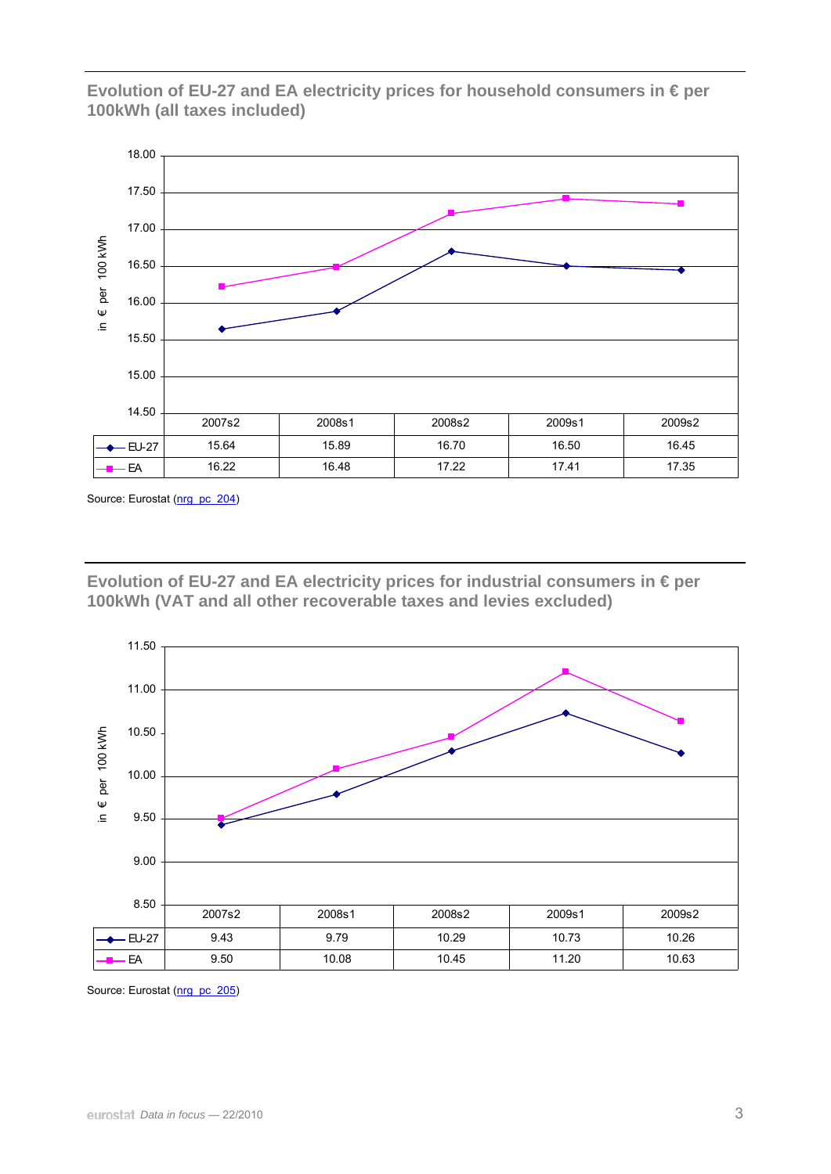**Evolution of EU-27 and EA electricity prices for household consumers in € per 100kWh (all taxes included)** 



Source: Eurostat (nrg\_pc\_204)

**Evolution of EU-27 and EA electricity prices for industrial consumers in € per 100kWh (VAT and all other recoverable taxes and levies excluded)** 



Source: Eurostat (nrg\_pc\_205)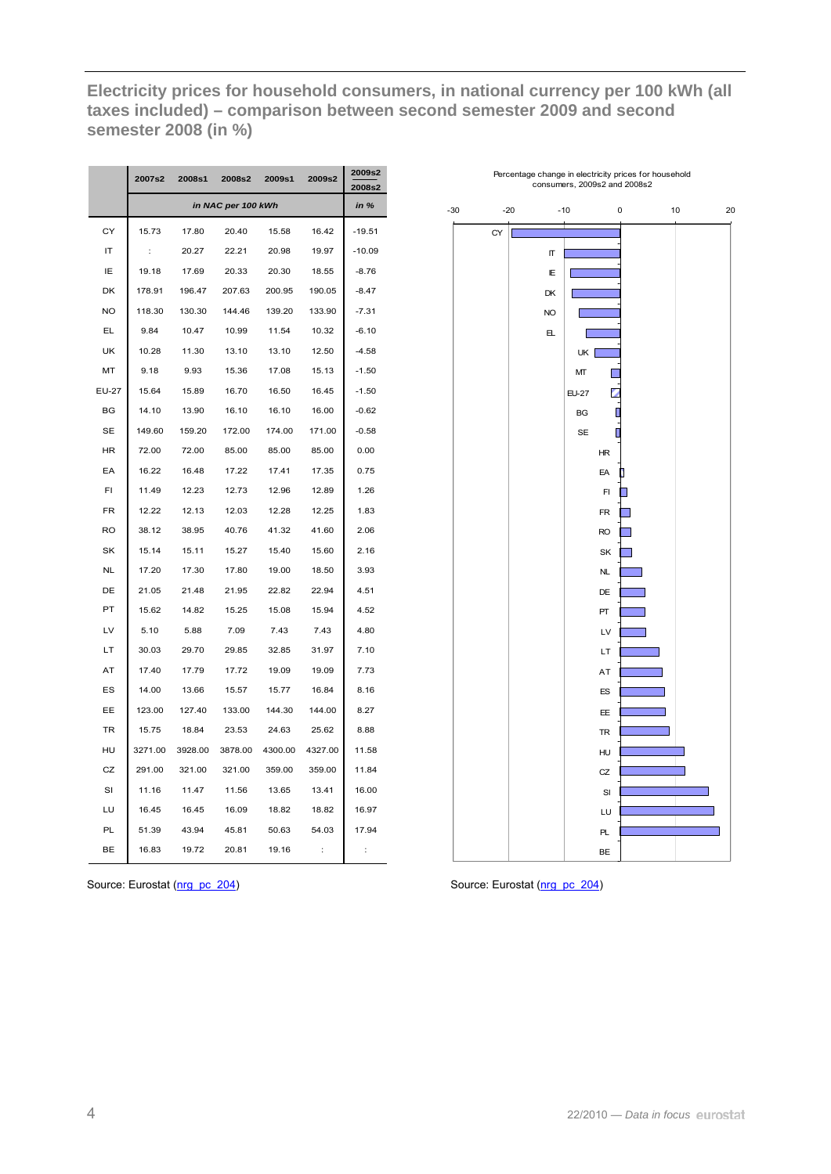**Electricity prices for household consumers, in national currency per 100 kWh (all taxes included) – comparison between second semester 2009 and second semester 2008 (in %)** 

|           | 2007s2  | 2008s1  | 2008s2             | 2009s1  | 2009s2               | 2009s2<br>2008s2 |
|-----------|---------|---------|--------------------|---------|----------------------|------------------|
|           |         |         | in NAC per 100 kWh |         |                      | in %             |
| СY        | 15.73   | 17.80   | 20.40              | 15.58   | 16.42                | -19.51           |
| IT        | t       | 20.27   | 22.21              | 20.98   | 19.97                | $-10.09$         |
| IΕ        | 19.18   | 17.69   | 20.33              | 20.30   | 18.55                | $-8.76$          |
| DK        | 178.91  | 196.47  | 207.63             | 200.95  | 190.05               | $-8.47$          |
| <b>NO</b> | 118.30  | 130.30  | 144.46             | 139.20  | 133.90               | $-7.31$          |
| EL        | 9.84    | 10.47   | 10.99              | 11.54   | 10.32                | $-6.10$          |
| UK        | 10.28   | 11.30   | 13.10              | 13.10   | 12.50                | $-4.58$          |
| MT        | 9.18    | 9.93    | 15.36              | 17.08   | 15.13                | $-1.50$          |
| EU-27     | 15.64   | 15.89   | 16.70              | 16.50   | 16.45                | $-1.50$          |
| BG        | 14.10   | 13.90   | 16.10              | 16.10   | 16.00                | $-0.62$          |
| <b>SE</b> | 149.60  | 159.20  | 172.00             | 174.00  | 171.00               | $-0.58$          |
| HR        | 72.00   | 72.00   | 85.00              | 85.00   | 85.00                | 0.00             |
| EA        | 16.22   | 16.48   | 17.22              | 17.41   | 17.35                | 0.75             |
| FI        | 11.49   | 12.23   | 12.73              | 12.96   | 12.89                | 1.26             |
| <b>FR</b> | 12.22   | 12.13   | 12.03              | 12.28   | 12.25                | 1.83             |
| <b>RO</b> | 38.12   | 38.95   | 40.76              | 41.32   | 41.60                | 2.06             |
| SK        | 15.14   | 15.11   | 15.27              | 15.40   | 15.60                | 2.16             |
| <b>NL</b> | 17.20   | 17.30   | 17.80              | 19.00   | 18.50                | 3.93             |
| DE        | 21.05   | 21.48   | 21.95              | 22.82   | 22.94                | 4.51             |
| PT        | 15.62   | 14.82   | 15.25              | 15.08   | 15.94                | 4.52             |
| LV        | 5.10    | 5.88    | 7.09               | 7.43    | 7.43                 | 4.80             |
| LT        | 30.03   | 29.70   | 29.85              | 32.85   | 31.97                | 7.10             |
| AT        | 17.40   | 17.79   | 17.72              | 19.09   | 19.09                | 7.73             |
| ES        | 14.00   | 13.66   | 15.57              | 15.77   | 16.84                | 8.16             |
| EЕ        | 123.00  | 127.40  | 133.00             | 144.30  | 144.00               | 8.27             |
| <b>TR</b> | 15.75   | 18.84   | 23.53              | 24.63   | 25.62                | 8.88             |
| HU        | 3271.00 | 3928.00 | 3878.00            | 4300.00 | 4327.00              | 11.58            |
| CZ        | 291.00  | 321.00  | 321.00             | 359.00  | 359.00               | 11.84            |
| SI        | 11.16   | 11.47   | 11.56              | 13.65   | 13.41                | 16.00            |
| LU        | 16.45   | 16.45   | 16.09              | 18.82   | 18.82                | 16.97            |
| PL        | 51.39   | 43.94   | 45.81              | 50.63   | 54.03                | 17.94            |
| ВE        | 16.83   | 19.72   | 20.81              | 19.16   | $\ddot{\phantom{a}}$ | $\vdots$         |





i.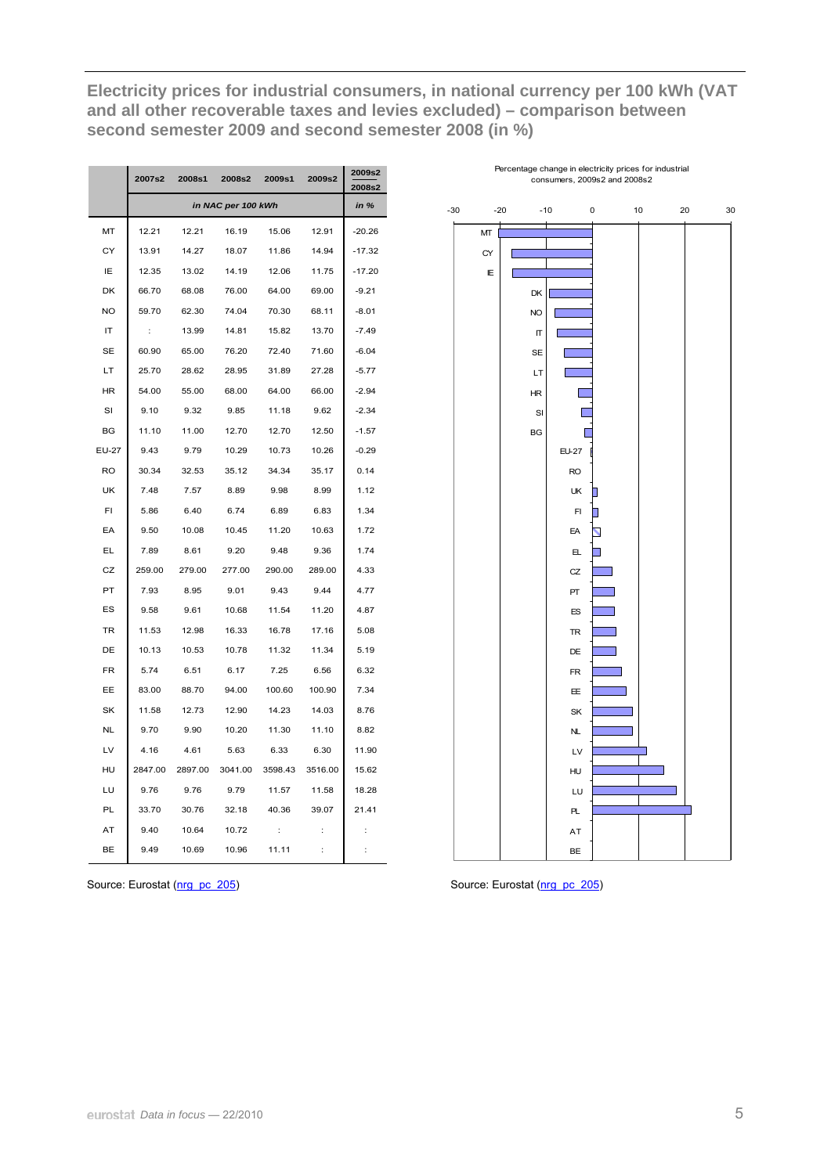**Electricity prices for industrial consumers, in national currency per 100 kWh (VAT and all other recoverable taxes and levies excluded) – comparison between second semester 2009 and second semester 2008 (in %)** 

|           | 2007s2               | 2008s1  | 2008s2             | 2009s1  | 2009s2               | 2009s2<br>2008s2 |
|-----------|----------------------|---------|--------------------|---------|----------------------|------------------|
|           |                      |         | in NAC per 100 kWh |         |                      | in $%$           |
| MT        | 12.21                | 12.21   | 16.19              | 15.06   | 12.91                | $-20.26$         |
| СY        | 13.91                | 14.27   | 18.07              | 11.86   | 14.94                | $-17.32$         |
| IE        | 12.35                | 13.02   | 14.19              | 12.06   | 11.75                | $-17.20$         |
| DK        | 66.70                | 68.08   | 76.00              | 64.00   | 69.00                | $-9.21$          |
| <b>NO</b> | 59.70                | 62.30   | 74.04              | 70.30   | 68.11                | $-8.01$          |
| ΙT        | $\ddot{\phantom{a}}$ | 13.99   | 14.81              | 15.82   | 13.70                | $-7.49$          |
| SЕ        | 60.90                | 65.00   | 76.20              | 72.40   | 71.60                | -6.04            |
| LT        | 25.70                | 28.62   | 28.95              | 31.89   | 27.28                | $-5.77$          |
| HR        | 54.00                | 55.00   | 68.00              | 64.00   | 66.00                | $-2.94$          |
| SI        | 9.10                 | 9.32    | 9.85               | 11.18   | 9.62                 | $-2.34$          |
| BG        | 11.10                | 11.00   | 12.70              | 12.70   | 12.50                | $-1.57$          |
| EU-27     | 9.43                 | 9.79    | 10.29              | 10.73   | 10.26                | $-0.29$          |
| <b>RO</b> | 30.34                | 32.53   | 35.12              | 34.34   | 35.17                | 0.14             |
| UK        | 7.48                 | 7.57    | 8.89               | 9.98    | 8.99                 | 1.12             |
| FI        | 5.86                 | 6.40    | 6.74               | 6.89    | 6.83                 | 1.34             |
| EA        | 9.50                 | 10.08   | 10.45              | 11.20   | 10.63                | 1.72             |
| EL        | 7.89                 | 8.61    | 9.20               | 9.48    | 9.36                 | 1.74             |
| CZ        | 259.00               | 279.00  | 277.00             | 290.00  | 289.00               | 4.33             |
| PT        | 7.93                 | 8.95    | 9.01               | 9.43    | 9.44                 | 4.77             |
| ES        | 9.58                 | 9.61    | 10.68              | 11.54   | 11.20                | 4.87             |
| TR        | 11.53                | 12.98   | 16.33              | 16.78   | 17.16                | 5.08             |
| DE        | 10.13                | 10.53   | 10.78              | 11.32   | 11.34                | 5.19             |
| FR        | 5.74                 | 6.51    | 6.17               | 7.25    | 6.56                 | 6.32             |
| EE        | 83.00                | 88.70   | 94.00              | 100.60  | 100.90               | 7.34             |
| SK        | 11.58                | 12.73   | 12.90              | 14.23   | 14.03                | 8.76             |
| <b>NL</b> | 9.70                 | 9.90    | 10.20              | 11.30   | 11.10                | 8.82             |
| LV        | 4.16                 | 4.61    | 5.63               | 6.33    | 6.30                 | 11.90            |
| HU        | 2847.00              | 2897.00 | 3041.00            | 3598.43 | 3516.00              | 15.62            |
| LU        | 9.76                 | 9.76    | 9.79               | 11.57   | 11.58                | 18.28            |
| PL        | 33.70                | 30.76   | 32.18              | 40.36   | 39.07                | 21.41            |
| AT        | 9.40                 | 10.64   | 10.72              | t       | İ                    |                  |
| BE        | 9.49                 | 10.69   | 10.96              | 11.11   | $\ddot{\phantom{a}}$ | t                |



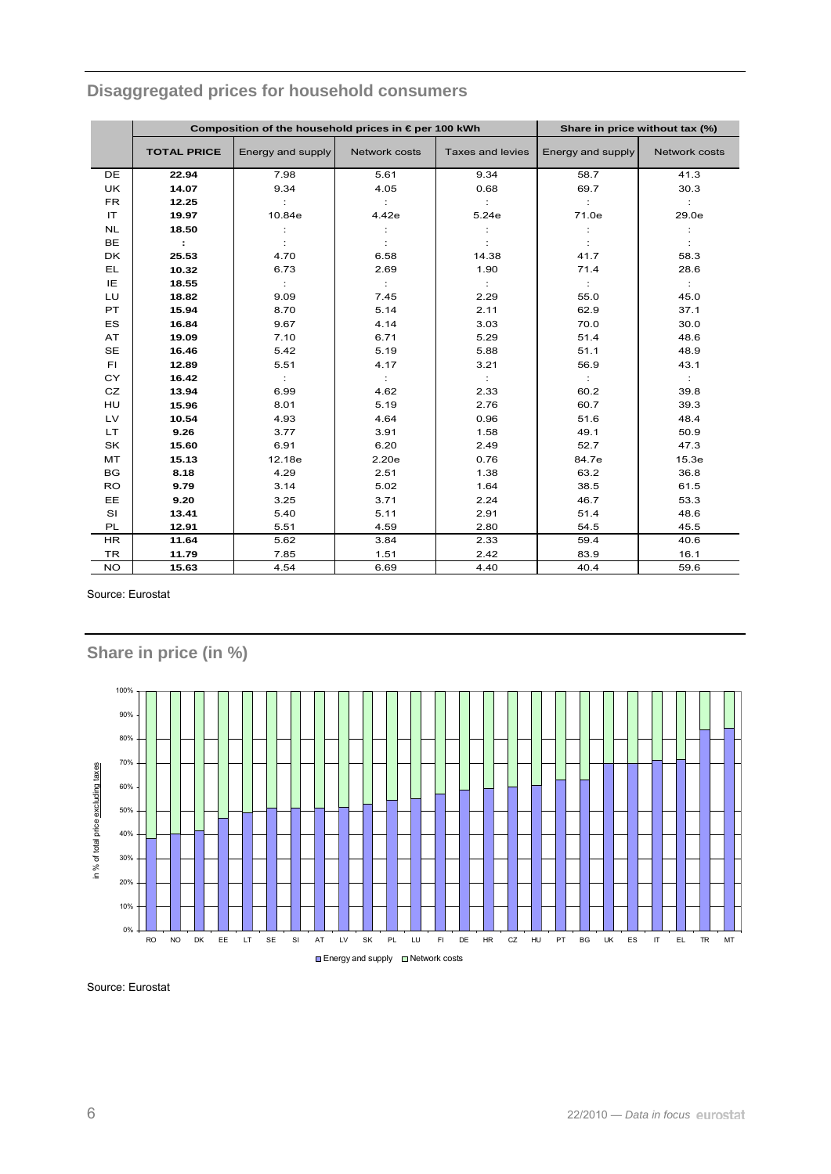|           |                    | Composition of the household prices in €per 100 kWh |               |                  | Share in price without tax (%) |               |
|-----------|--------------------|-----------------------------------------------------|---------------|------------------|--------------------------------|---------------|
|           | <b>TOTAL PRICE</b> | Energy and supply                                   | Network costs | Taxes and levies | Energy and supply              | Network costs |
| <b>DE</b> | 22.94              | 7.98                                                | 5.61          | 9.34             | 58.7                           | 41.3          |
| <b>UK</b> | 14.07              | 9.34                                                | 4.05          | 0.68             | 69.7                           | 30.3          |
| FR.       | 12.25              |                                                     |               |                  | ÷                              |               |
| <b>IT</b> | 19.97              | 10.84e                                              | 4.42e         | 5.24e            | 71.0e                          | 29.0e         |
| <b>NL</b> | 18.50              |                                                     |               |                  |                                |               |
| <b>BE</b> | ÷                  |                                                     |               |                  |                                |               |
| DK        | 25.53              | 4.70                                                | 6.58          | 14.38            | 41.7                           | 58.3          |
| EL.       | 10.32              | 6.73                                                | 2.69          | 1.90             | 71.4                           | 28.6          |
| IE        | 18.55              | ÷                                                   | $\cdot$ :     |                  | $\mathbb{C}^{\times}$          | $\sim$        |
| LU        | 18.82              | 9.09                                                | 7.45          | 2.29             | 55.0                           | 45.0          |
| PT.       | 15.94              | 8.70                                                | 5.14          | 2.11             | 62.9                           | 37.1          |
| <b>ES</b> | 16.84              | 9.67                                                | 4.14          | 3.03             | 70.0                           | 30.0          |
| AT.       | 19.09              | 7.10                                                | 6.71          | 5.29             | 51.4                           | 48.6          |
| <b>SE</b> | 16.46              | 5.42                                                | 5.19          | 5.88             | 51.1                           | 48.9          |
| FI.       | 12.89              | 5.51                                                | 4.17          | 3.21             | 56.9                           | 43.1          |
| CY        | 16.42              | ÷                                                   | $\cdot$ :     |                  | ÷                              | $\mathcal{L}$ |
| CZ.       | 13.94              | 6.99                                                | 4.62          | 2.33             | 60.2                           | 39.8          |
| <b>HU</b> | 15.96              | 8.01                                                | 5.19          | 2.76             | 60.7                           | 39.3          |
| LV.       | 10.54              | 4.93                                                | 4.64          | 0.96             | 51.6                           | 48.4          |
| LT.       | 9.26               | 3.77                                                | 3.91          | 1.58             | 49.1                           | 50.9          |
| SK        | 15.60              | 6.91                                                | 6.20          | 2.49             | 52.7                           | 47.3          |
| MT        | 15.13              | 12.18e                                              | 2.20e         | 0.76             | 84.7e                          | 15.3e         |
| BG        | 8.18               | 4.29                                                | 2.51          | 1.38             | 63.2                           | 36.8          |
| <b>RO</b> | 9.79               | 3.14                                                | 5.02          | 1.64             | 38.5                           | 61.5          |
| <b>EE</b> | 9.20               | 3.25                                                | 3.71          | 2.24             | 46.7                           | 53.3          |
| <b>SI</b> | 13.41              | 5.40                                                | 5.11          | 2.91             | 51.4                           | 48.6          |
| PL        | 12.91              | 5.51                                                | 4.59          | 2.80             | 54.5                           | 45.5          |
| <b>HR</b> | 11.64              | 5.62                                                | 3.84          | 2.33             | 59.4                           | 40.6          |
| <b>TR</b> | 11.79              | 7.85                                                | 1.51          | 2.42             | 83.9                           | 16.1          |
| <b>NO</b> | 15.63              | 4.54                                                | 6.69          | 4.40             | 40.4                           | 59.6          |

# Disaggregated prices for household consumers

Source: Eurostat



Share in price (in %)

Source: Eurostat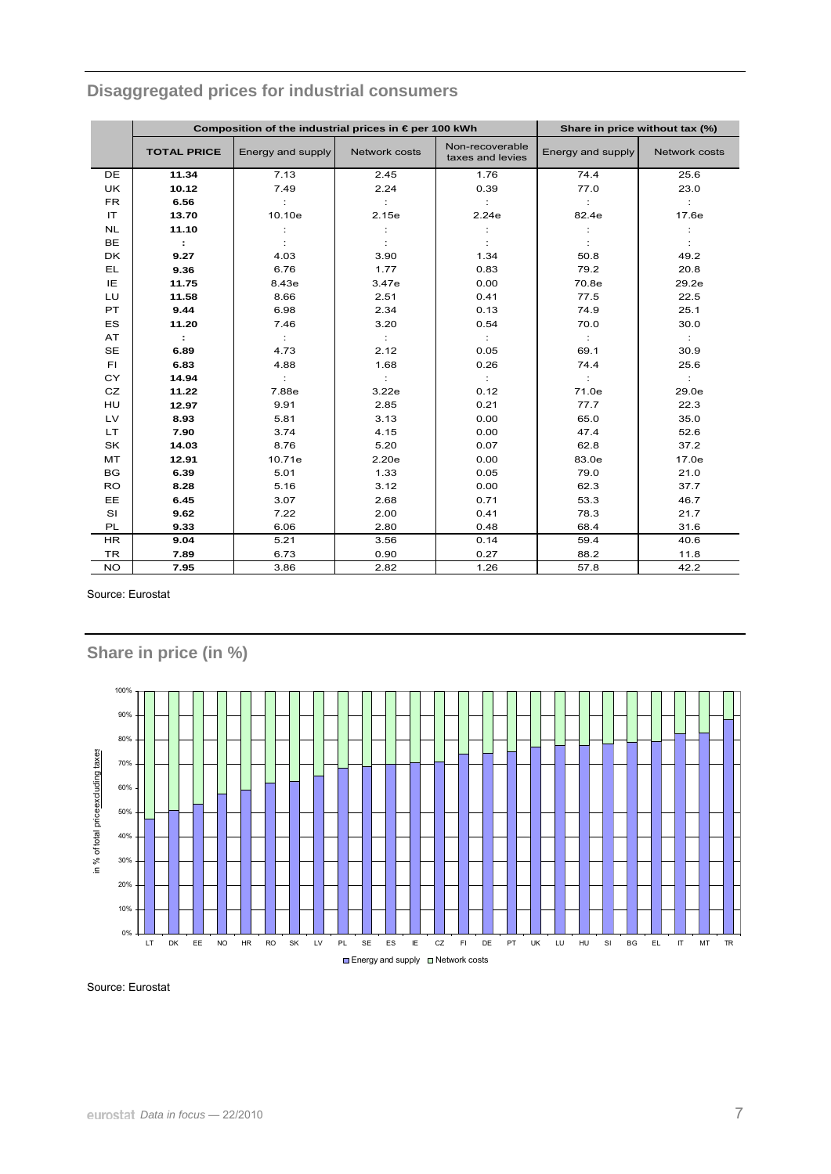|           |                    | Composition of the industrial prices in €per 100 kWh |               | Share in price without tax (%)      |                   |               |
|-----------|--------------------|------------------------------------------------------|---------------|-------------------------------------|-------------------|---------------|
|           | <b>TOTAL PRICE</b> | Energy and supply                                    | Network costs | Non-recoverable<br>taxes and levies | Energy and supply | Network costs |
| DE        | 11.34              | 7.13                                                 | 2.45          | 1.76                                | 74.4              | 25.6          |
| <b>UK</b> | 10.12              | 7.49                                                 | 2.24          | 0.39                                | 77.0              | 23.0          |
| <b>FR</b> | 6.56               |                                                      |               |                                     | ÷                 |               |
| IT        | 13.70              | 10.10e                                               | 2.15e         | 2.24e                               | 82.4e             | 17.6e         |
| <b>NL</b> | 11.10              |                                                      |               |                                     |                   |               |
| <b>BE</b> | ÷                  |                                                      |               |                                     |                   |               |
| <b>DK</b> | 9.27               | 4.03                                                 | 3.90          | 1.34                                | 50.8              | 49.2          |
| EL        | 9.36               | 6.76                                                 | 1.77          | 0.83                                | 79.2              | 20.8          |
| IE        | 11.75              | 8.43e                                                | 3.47e         | 0.00                                | 70.8e             | 29.2e         |
| LU        | 11.58              | 8.66                                                 | 2.51          | 0.41                                | 77.5              | 22.5          |
| PT        | 9.44               | 6.98                                                 | 2.34          | 0.13                                | 74.9              | 25.1          |
| <b>ES</b> | 11.20              | 7.46                                                 | 3.20          | 0.54                                | 70.0              | 30.0          |
| AT        | ÷                  |                                                      | ÷             | ÷                                   | ÷                 | ÷             |
| <b>SE</b> | 6.89               | 4.73                                                 | 2.12          | 0.05                                | 69.1              | 30.9          |
| FI.       | 6.83               | 4.88                                                 | 1.68          | 0.26                                | 74.4              | 25.6          |
| <b>CY</b> | 14.94              |                                                      |               | ÷                                   | ÷                 | ÷             |
| CZ        | 11.22              | 7.88e                                                | 3.22e         | 0.12                                | 71.0e             | 29.0e         |
| HU        | 12.97              | 9.91                                                 | 2.85          | 0.21                                | 77.7              | 22.3          |
| LV        | 8.93               | 5.81                                                 | 3.13          | 0.00                                | 65.0              | 35.0          |
| LT.       | 7.90               | 3.74                                                 | 4.15          | 0.00                                | 47.4              | 52.6          |
| SK        | 14.03              | 8.76                                                 | 5.20          | 0.07                                | 62.8              | 37.2          |
| <b>MT</b> | 12.91              | 10.71e                                               | 2.20e         | 0.00                                | 83.0e             | 17.0e         |
| BG        | 6.39               | 5.01                                                 | 1.33          | 0.05                                | 79.0              | 21.0          |
| <b>RO</b> | 8.28               | 5.16                                                 | 3.12          | 0.00                                | 62.3              | 37.7          |
| EE        | 6.45               | 3.07                                                 | 2.68          | 0.71                                | 53.3              | 46.7          |
| SI        | 9.62               | 7.22                                                 | 2.00          | 0.41                                | 78.3              | 21.7          |
| PL        | 9.33               | 6.06                                                 | 2.80          | 0.48                                | 68.4              | 31.6          |
| <b>HR</b> | 9.04               | 5.21                                                 | 3.56          | 0.14                                | 59.4              | 40.6          |
| <b>TR</b> | 7.89               | 6.73                                                 | 0.90          | 0.27                                | 88.2              | 11.8          |
| <b>NO</b> | 7.95               | 3.86                                                 | 2.82          | 1.26                                | 57.8              | 42.2          |

# Disaggregated prices for industrial consumers

Source: Eurostat



Source: Eurostat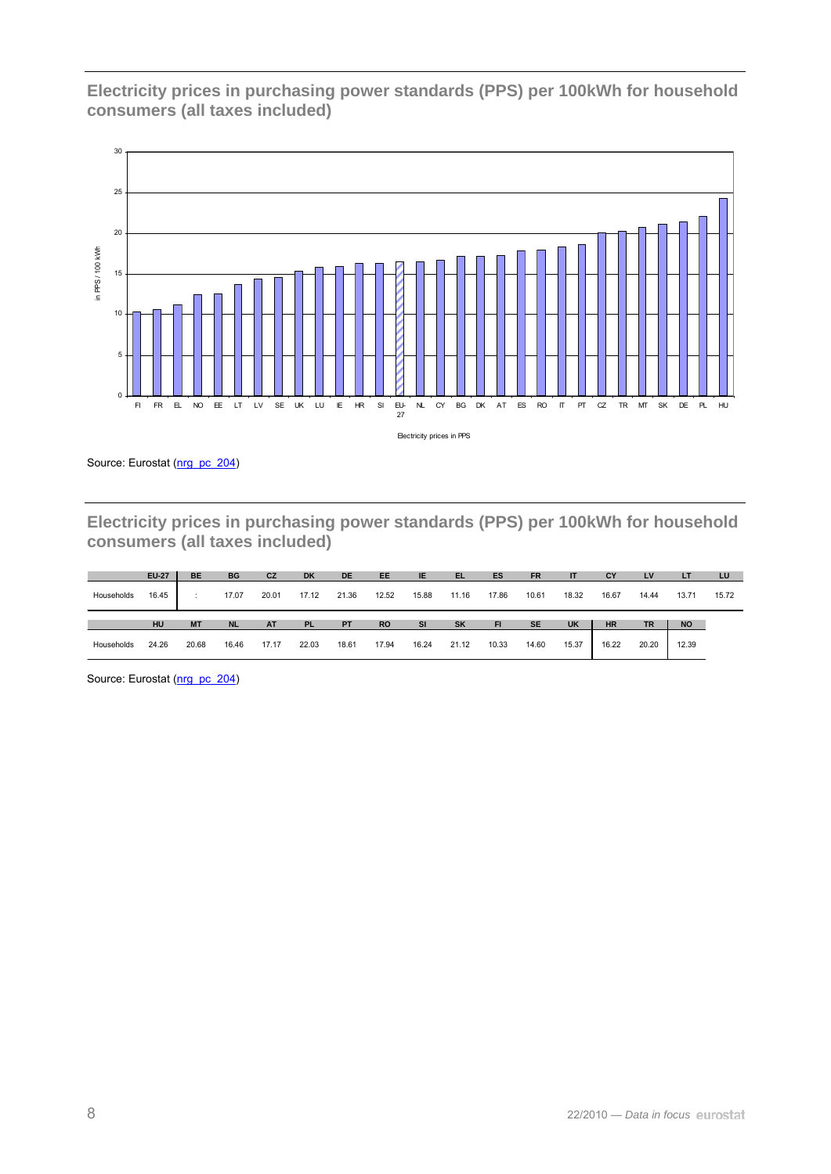**Electricity prices in purchasing power standards (PPS) per 100kWh for household consumers (all taxes included)** 



Source: Eurostat (nrg\_pc\_204)

**Electricity prices in purchasing power standards (PPS) per 100kWh for household consumers (all taxes included)** 

|            | <b>EU-27</b> | <b>BE</b> | <b>BG</b> | <b>CZ</b> | <b>DK</b> | <b>DE</b> | <b>EE</b> | IE.       | EL        | ES        | <b>FR</b> |           | <b>CY</b> | LV        | ÆŦ        | LU    |
|------------|--------------|-----------|-----------|-----------|-----------|-----------|-----------|-----------|-----------|-----------|-----------|-----------|-----------|-----------|-----------|-------|
| Households | 16.45        |           | 17.07     | 20.01     | 17.12     | 21.36     | 12.52     | 15.88     | 11.16     | 17.86     | 10.61     | 18.32     | 16.67     | 14.44     | 13.71     | 15.72 |
|            |              |           |           |           |           |           |           |           |           |           |           |           |           |           |           |       |
|            | HU           | <b>MT</b> | <b>NL</b> | <b>AT</b> | <b>PL</b> | <b>PT</b> | <b>RO</b> | <b>SI</b> | <b>SK</b> | <b>FI</b> | <b>SE</b> | <b>UK</b> | <b>HR</b> | <b>TR</b> | <b>NO</b> |       |

Source: Eurostat (nrg\_pc\_204)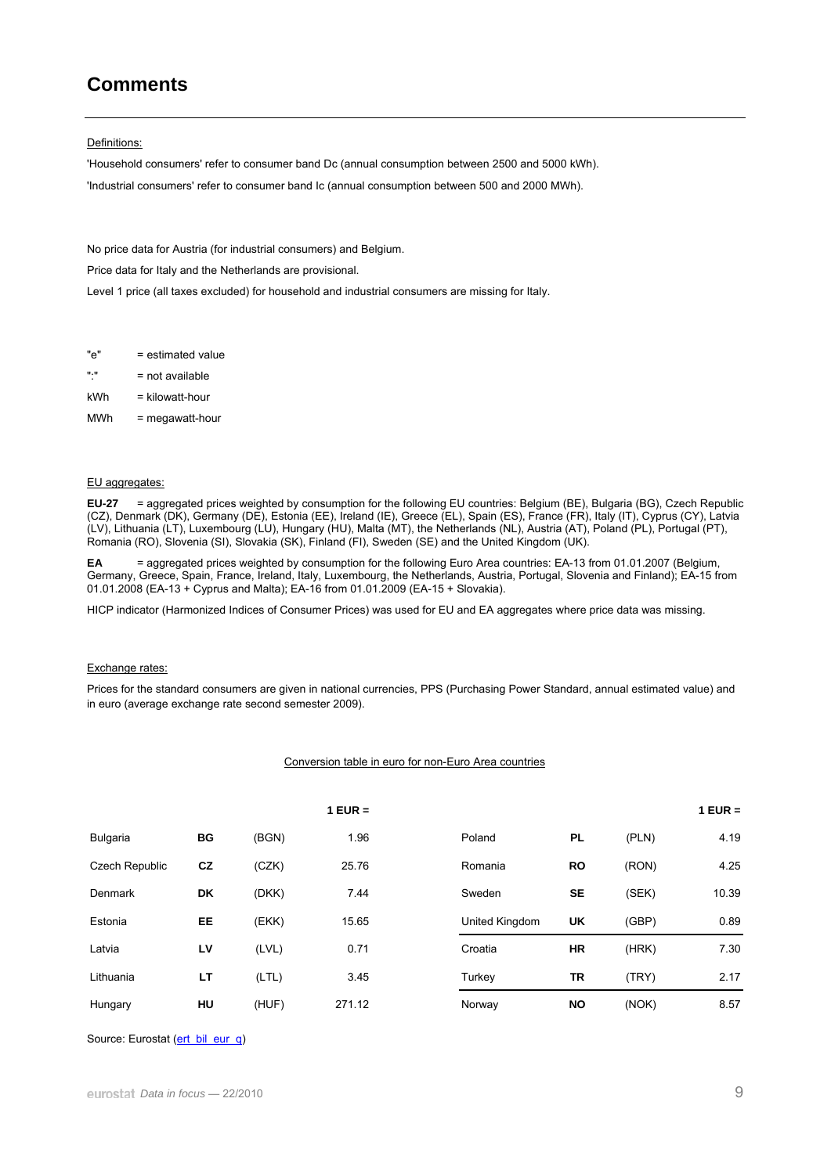## **Comments**

#### Definitions:

'Household consumers' refer to consumer band Dc (annual consumption between 2500 and 5000 kWh). 'Industrial consumers' refer to consumer band Ic (annual consumption between 500 and 2000 MWh).

No price data for Austria (for industrial consumers) and Belgium.

Price data for Italy and the Netherlands are provisional.

Level 1 price (all taxes excluded) for household and industrial consumers are missing for Italy.

"e" = estimated value

- ":" = not available
- $kWh = kilowatt-hour$
- MWh = megawatt-hour

#### EU aggregates:

**EU-27** = aggregated prices weighted by consumption for the following EU countries: Belgium (BE), Bulgaria (BG), Czech Republic (CZ), Denmark (DK), Germany (DE), Estonia (EE), Ireland (IE), Greece (EL), Spain (ES), France (FR), Italy (IT), Cyprus (CY), Latvia (LV), Lithuania (LT), Luxembourg (LU), Hungary (HU), Malta (MT), the Netherlands (NL), Austria (AT), Poland (PL), Portugal (PT), Romania (RO), Slovenia (SI), Slovakia (SK), Finland (FI), Sweden (SE) and the United Kingdom (UK).

**EA** = aggregated prices weighted by consumption for the following Euro Area countries: EA-13 from 01.01.2007 (Belgium, Germany, Greece, Spain, France, Ireland, Italy, Luxembourg, the Netherlands, Austria, Portugal, Slovenia and Finland); EA-15 from 01.01.2008 (EA-13 + Cyprus and Malta); EA-16 from 01.01.2009 (EA-15 + Slovakia).

HICP indicator (Harmonized Indices of Consumer Prices) was used for EU and EA aggregates where price data was missing.

#### Exchange rates:

Prices for the standard consumers are given in national currencies, PPS (Purchasing Power Standard, annual estimated value) and in euro (average exchange rate second semester 2009).

#### Conversion table in euro for non-Euro Area countries

|                       |    |       | $1$ EUR = |                |           |       | $1$ EUR = |
|-----------------------|----|-------|-----------|----------------|-----------|-------|-----------|
| <b>Bulgaria</b>       | BG | (BGN) | 1.96      | Poland         | <b>PL</b> | (PLN) | 4.19      |
| <b>Czech Republic</b> | cz | (CZK) | 25.76     | Romania        | <b>RO</b> | (RON) | 4.25      |
| Denmark               | DK | (DKK) | 7.44      | Sweden         | <b>SE</b> | (SEK) | 10.39     |
| Estonia               | EE | (EKK) | 15.65     | United Kingdom | UK        | (GBP) | 0.89      |
| Latvia                | LV | (LVL) | 0.71      | Croatia        | <b>HR</b> | (HRK) | 7.30      |
| Lithuania             | LT | (LTL) | 3.45      | Turkey         | TR        | (TRY) | 2.17      |
| Hungary               | HU | (HUF) | 271.12    | Norway         | <b>NO</b> | (NOK) | 8.57      |

Source: Eurostat ([ert\\_bil\\_eur\\_q\)](http://ec.europa.eu/eurostat/product?mode=view&code=ert_bil_eur_q)